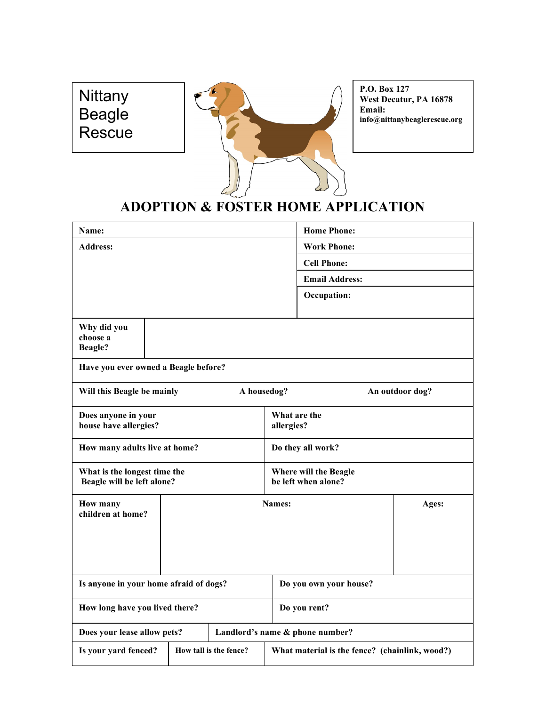## **Nittany** Beagle Rescue



P.O. Box 127 West Decatur, PA 16878 Email: info@nittanybeaglerescue.org

## ADOPTION & FOSTER HOME APPLICATION

| Name:                                                          |                                      |                                                | <b>Home Phone:</b>                           |  |  |  |  |
|----------------------------------------------------------------|--------------------------------------|------------------------------------------------|----------------------------------------------|--|--|--|--|
| <b>Address:</b>                                                |                                      |                                                | <b>Work Phone:</b>                           |  |  |  |  |
|                                                                |                                      |                                                | <b>Cell Phone:</b>                           |  |  |  |  |
|                                                                |                                      |                                                | <b>Email Address:</b>                        |  |  |  |  |
|                                                                |                                      |                                                | Occupation:                                  |  |  |  |  |
| Why did you<br>choose a<br><b>Beagle?</b>                      |                                      |                                                |                                              |  |  |  |  |
|                                                                | Have you ever owned a Beagle before? |                                                |                                              |  |  |  |  |
| A housedog?<br>Will this Beagle be mainly                      |                                      |                                                | An outdoor dog?                              |  |  |  |  |
| Does anyone in your<br>house have allergies?                   |                                      |                                                | What are the<br>allergies?                   |  |  |  |  |
| How many adults live at home?                                  |                                      |                                                | Do they all work?                            |  |  |  |  |
| What is the longest time the<br>Beagle will be left alone?     |                                      |                                                | Where will the Beagle<br>be left when alone? |  |  |  |  |
| <b>Names:</b><br>Ages:<br><b>How many</b><br>children at home? |                                      |                                                |                                              |  |  |  |  |
| Is anyone in your home afraid of dogs?                         |                                      |                                                | Do you own your house?                       |  |  |  |  |
| How long have you lived there?                                 |                                      |                                                | Do you rent?                                 |  |  |  |  |
| Landlord's name & phone number?<br>Does your lease allow pets? |                                      |                                                |                                              |  |  |  |  |
| Is your yard fenced?                                           | How tall is the fence?               | What material is the fence? (chainlink, wood?) |                                              |  |  |  |  |